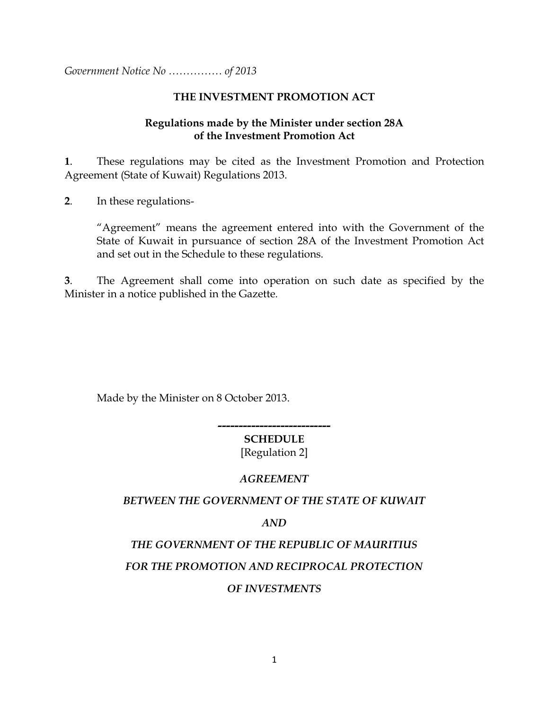*Government Notice No …………… of 2013*

#### **THE INVESTMENT PROMOTION ACT**

#### **Regulations made by the Minister under section 28A of the Investment Promotion Act**

**1**. These regulations may be cited as the Investment Promotion and Protection Agreement (State of Kuwait) Regulations 2013.

**2**. In these regulations-

"Agreement" means the agreement entered into with the Government of the State of Kuwait in pursuance of section 28A of the Investment Promotion Act and set out in the Schedule to these regulations.

**3**. The Agreement shall come into operation on such date as specified by the Minister in a notice published in the Gazette*.*

Made by the Minister on 8 October 2013.

#### **--------------------------- SCHEDULE**

[Regulation 2]

#### *AGREEMENT*

#### *BETWEEN THE GOVERNMENT OF THE STATE OF KUWAIT*

*AND*

# *THE GOVERNMENT OF THE REPUBLIC OF MAURITIUS*

# *FOR THE PROMOTION AND RECIPROCAL PROTECTION*

# *OF INVESTMENTS*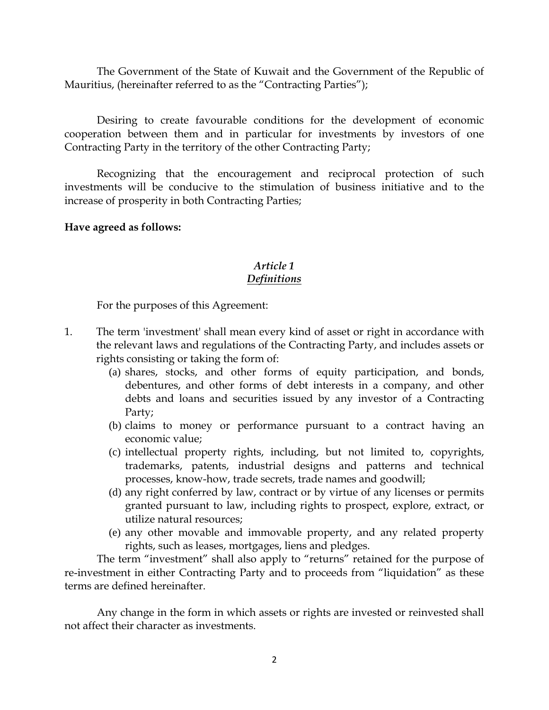The Government of the State of Kuwait and the Government of the Republic of Mauritius, (hereinafter referred to as the "Contracting Parties");

Desiring to create favourable conditions for the development of economic cooperation between them and in particular for investments by investors of one Contracting Party in the territory of the other Contracting Party;

Recognizing that the encouragement and reciprocal protection of such investments will be conducive to the stimulation of business initiative and to the increase of prosperity in both Contracting Parties;

#### **Have agreed as follows:**

# *Article 1*

# *Definitions*

For the purposes of this Agreement:

- 1. The term 'investment' shall mean every kind of asset or right in accordance with the relevant laws and regulations of the Contracting Party, and includes assets or rights consisting or taking the form of:
	- (a) shares, stocks, and other forms of equity participation, and bonds, debentures, and other forms of debt interests in a company, and other debts and loans and securities issued by any investor of a Contracting Party;
	- (b) claims to money or performance pursuant to a contract having an economic value;
	- (c) intellectual property rights, including, but not limited to, copyrights, trademarks, patents, industrial designs and patterns and technical processes, know-how, trade secrets, trade names and goodwill;
	- (d) any right conferred by law, contract or by virtue of any licenses or permits granted pursuant to law, including rights to prospect, explore, extract, or utilize natural resources;
	- (e) any other movable and immovable property, and any related property rights, such as leases, mortgages, liens and pledges.

The term "investment" shall also apply to "returns" retained for the purpose of re-investment in either Contracting Party and to proceeds from "liquidation" as these terms are defined hereinafter.

Any change in the form in which assets or rights are invested or reinvested shall not affect their character as investments.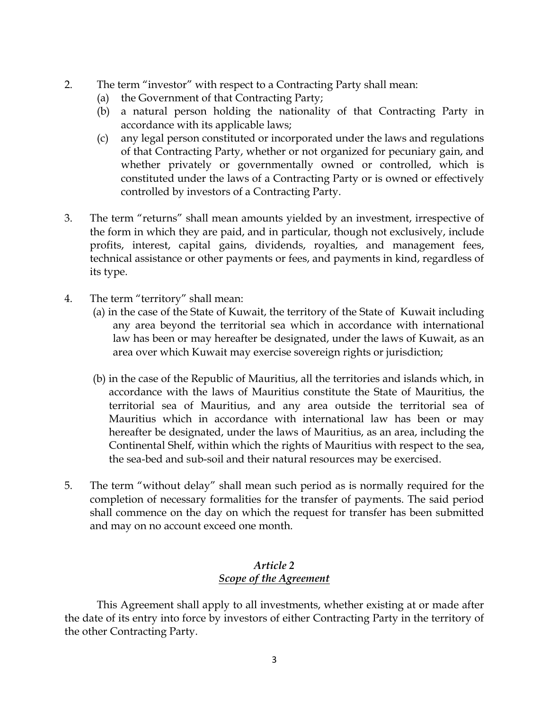- 2. The term "investor" with respect to a Contracting Party shall mean:
	- (a) the Government of that Contracting Party;
	- (b) a natural person holding the nationality of that Contracting Party in accordance with its applicable laws;
	- (c) any legal person constituted or incorporated under the laws and regulations of that Contracting Party, whether or not organized for pecuniary gain, and whether privately or governmentally owned or controlled, which is constituted under the laws of a Contracting Party or is owned or effectively controlled by investors of a Contracting Party.
- 3. The term "returns" shall mean amounts yielded by an investment, irrespective of the form in which they are paid, and in particular, though not exclusively, include profits, interest, capital gains, dividends, royalties, and management fees, technical assistance or other payments or fees, and payments in kind, regardless of its type.
- 4. The term "territory" shall mean:
	- (a) in the case of the State of Kuwait, the territory of the State of Kuwait including any area beyond the territorial sea which in accordance with international law has been or may hereafter be designated, under the laws of Kuwait, as an area over which Kuwait may exercise sovereign rights or jurisdiction;
	- (b) in the case of the Republic of Mauritius, all the territories and islands which, in accordance with the laws of Mauritius constitute the State of Mauritius, the territorial sea of Mauritius, and any area outside the territorial sea of Mauritius which in accordance with international law has been or may hereafter be designated, under the laws of Mauritius, as an area, including the Continental Shelf, within which the rights of Mauritius with respect to the sea, the sea-bed and sub-soil and their natural resources may be exercised.
- 5. The term "without delay" shall mean such period as is normally required for the completion of necessary formalities for the transfer of payments. The said period shall commence on the day on which the request for transfer has been submitted and may on no account exceed one month.

#### *Article 2 Scope of the Agreement*

This Agreement shall apply to all investments, whether existing at or made after the date of its entry into force by investors of either Contracting Party in the territory of the other Contracting Party.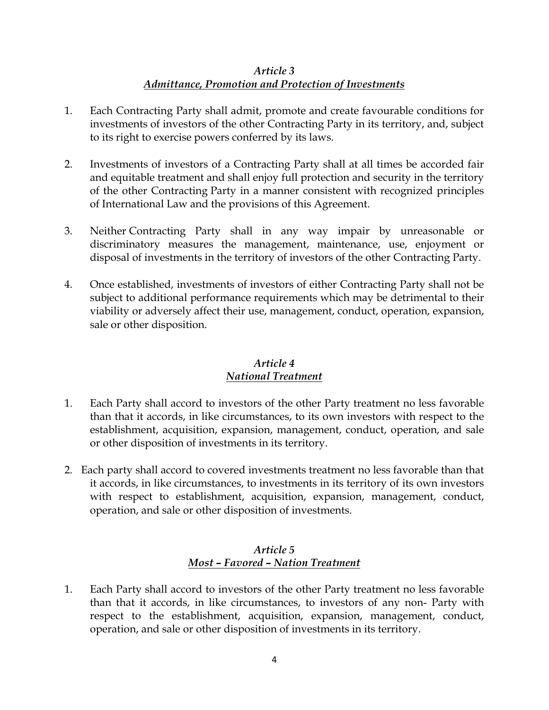# *Article 3 Admittance, Promotion and Protection of Investments*

- 1. Each Contracting Party shall admit, promote and create favourable conditions for investments of investors of the other Contracting Party in its territory, and, subject to its right to exercise powers conferred by its laws.
- 2. Investments of investors of a Contracting Party shall at all times be accorded fair and equitable treatment and shall enjoy full protection and security in the territory of the other Contracting Party in a manner consistent with recognized principles of International Law and the provisions of this Agreement.
- 3. Neither Contracting Party shall in any way impair by unreasonable or discriminatory measures the management, maintenance, use, enjoyment or disposal of investments in the territory of investors of the other Contracting Party.
- 4. Once established, investments of investors of either Contracting Party shall not be subject to additional performance requirements which may be detrimental to their viability or adversely affect their use, management, conduct, operation, expansion, sale or other disposition.

### *Article 4 National Treatment*

- 1. Each Party shall accord to investors of the other Party treatment no less favorable than that it accords, in like circumstances, to its own investors with respect to the establishment, acquisition, expansion, management, conduct, operation, and sale or other disposition of investments in its territory.
- 2. Each party shall accord to covered investments treatment no less favorable than that it accords, in like circumstances, to investments in its territory of its own investors with respect to establishment, acquisition, expansion, management, conduct, operation, and sale or other disposition of investments.

### *Article 5 Most – Favored – Nation Treatment*

1. Each Party shall accord to investors of the other Party treatment no less favorable than that it accords, in like circumstances, to investors of any non- Party with respect to the establishment, acquisition, expansion, management, conduct, operation, and sale or other disposition of investments in its territory.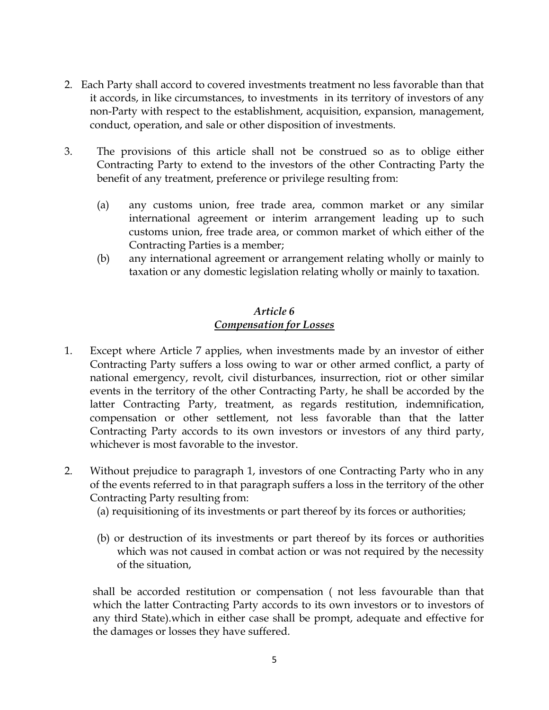- 2. Each Party shall accord to covered investments treatment no less favorable than that it accords, in like circumstances, to investments in its territory of investors of any non-Party with respect to the establishment, acquisition, expansion, management, conduct, operation, and sale or other disposition of investments.
- 3. The provisions of this article shall not be construed so as to oblige either Contracting Party to extend to the investors of the other Contracting Party the benefit of any treatment, preference or privilege resulting from:
	- (a) any customs union, free trade area, common market or any similar international agreement or interim arrangement leading up to such customs union, free trade area, or common market of which either of the Contracting Parties is a member;
	- (b) any international agreement or arrangement relating wholly or mainly to taxation or any domestic legislation relating wholly or mainly to taxation.

#### *Article 6 Compensation for Losses*

- 1. Except where Article 7 applies, when investments made by an investor of either Contracting Party suffers a loss owing to war or other armed conflict, a party of national emergency, revolt, civil disturbances, insurrection, riot or other similar events in the territory of the other Contracting Party, he shall be accorded by the latter Contracting Party, treatment, as regards restitution, indemnification, compensation or other settlement, not less favorable than that the latter Contracting Party accords to its own investors or investors of any third party, whichever is most favorable to the investor.
- 2. Without prejudice to paragraph 1, investors of one Contracting Party who in any of the events referred to in that paragraph suffers a loss in the territory of the other Contracting Party resulting from:
	- (a) requisitioning of its investments or part thereof by its forces or authorities;
	- (b) or destruction of its investments or part thereof by its forces or authorities which was not caused in combat action or was not required by the necessity of the situation,

shall be accorded restitution or compensation ( not less favourable than that which the latter Contracting Party accords to its own investors or to investors of any third State).which in either case shall be prompt, adequate and effective for the damages or losses they have suffered.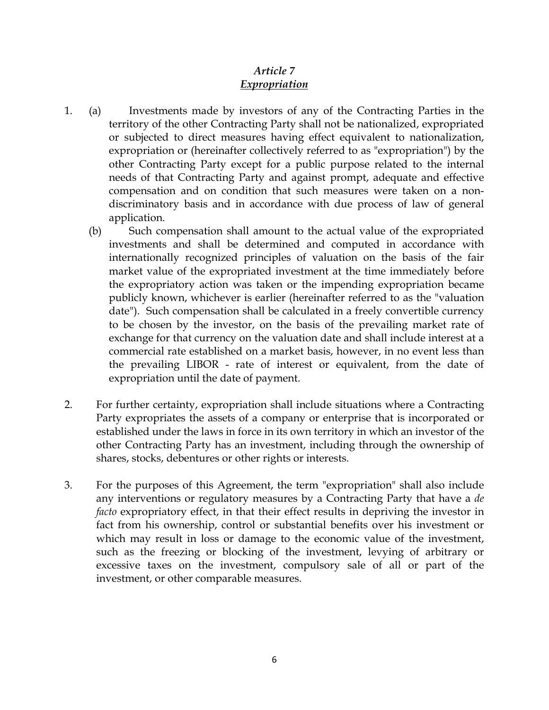## *Article 7 Expropriation*

- 1. (a) Investments made by investors of any of the Contracting Parties in the territory of the other Contracting Party shall not be nationalized, expropriated or subjected to direct measures having effect equivalent to nationalization, expropriation or (hereinafter collectively referred to as "expropriation") by the other Contracting Party except for a public purpose related to the internal needs of that Contracting Party and against prompt, adequate and effective compensation and on condition that such measures were taken on a nondiscriminatory basis and in accordance with due process of law of general application.
	- (b) Such compensation shall amount to the actual value of the expropriated investments and shall be determined and computed in accordance with internationally recognized principles of valuation on the basis of the fair market value of the expropriated investment at the time immediately before the expropriatory action was taken or the impending expropriation became publicly known, whichever is earlier (hereinafter referred to as the "valuation date"). Such compensation shall be calculated in a freely convertible currency to be chosen by the investor, on the basis of the prevailing market rate of exchange for that currency on the valuation date and shall include interest at a commercial rate established on a market basis, however, in no event less than the prevailing LIBOR - rate of interest or equivalent, from the date of expropriation until the date of payment.
- 2. For further certainty, expropriation shall include situations where a Contracting Party expropriates the assets of a company or enterprise that is incorporated or established under the laws in force in its own territory in which an investor of the other Contracting Party has an investment, including through the ownership of shares, stocks, debentures or other rights or interests.
- 3. For the purposes of this Agreement, the term "expropriation" shall also include any interventions or regulatory measures by a Contracting Party that have a *de facto* expropriatory effect, in that their effect results in depriving the investor in fact from his ownership, control or substantial benefits over his investment or which may result in loss or damage to the economic value of the investment, such as the freezing or blocking of the investment, levying of arbitrary or excessive taxes on the investment, compulsory sale of all or part of the investment, or other comparable measures.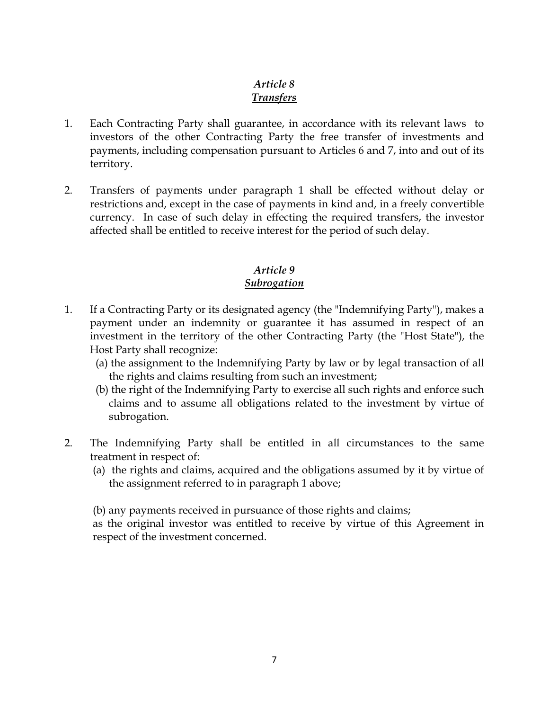# *Article 8 Transfers*

- 1. Each Contracting Party shall guarantee, in accordance with its relevant laws to investors of the other Contracting Party the free transfer of investments and payments, including compensation pursuant to Articles 6 and 7, into and out of its territory.
- 2. Transfers of payments under paragraph 1 shall be effected without delay or restrictions and, except in the case of payments in kind and, in a freely convertible currency. In case of such delay in effecting the required transfers, the investor affected shall be entitled to receive interest for the period of such delay.

# *Article 9 Subrogation*

- 1. If a Contracting Party or its designated agency (the "Indemnifying Party"), makes a payment under an indemnity or guarantee it has assumed in respect of an investment in the territory of the other Contracting Party (the "Host State"), the Host Party shall recognize:
	- (a) the assignment to the Indemnifying Party by law or by legal transaction of all the rights and claims resulting from such an investment;
	- (b) the right of the Indemnifying Party to exercise all such rights and enforce such claims and to assume all obligations related to the investment by virtue of subrogation.
- 2. The Indemnifying Party shall be entitled in all circumstances to the same treatment in respect of:
	- (a) the rights and claims, acquired and the obligations assumed by it by virtue of the assignment referred to in paragraph 1 above;

(b) any payments received in pursuance of those rights and claims;

as the original investor was entitled to receive by virtue of this Agreement in respect of the investment concerned.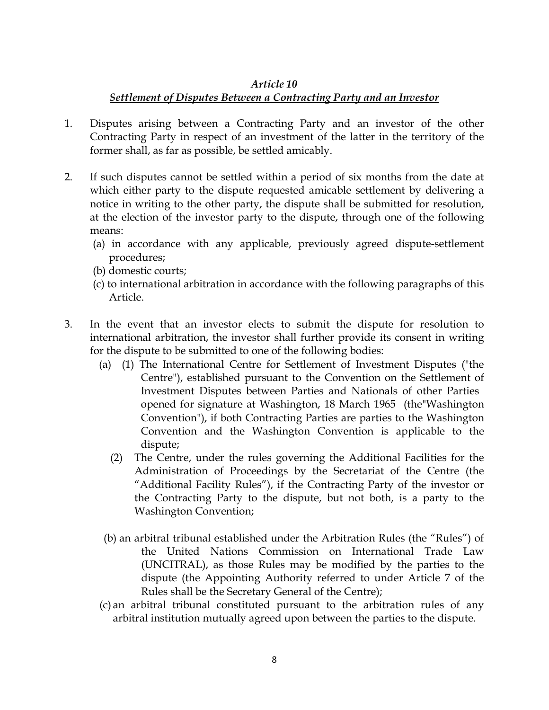#### *Article 10*

# *Settlement of Disputes Between a Contracting Party and an Investor*

- 1. Disputes arising between a Contracting Party and an investor of the other Contracting Party in respect of an investment of the latter in the territory of the former shall, as far as possible, be settled amicably.
- 2. If such disputes cannot be settled within a period of six months from the date at which either party to the dispute requested amicable settlement by delivering a notice in writing to the other party, the dispute shall be submitted for resolution, at the election of the investor party to the dispute, through one of the following means:
	- (a) in accordance with any applicable, previously agreed dispute-settlement procedures;
	- (b) domestic courts;
	- (c) to international arbitration in accordance with the following paragraphs of this Article.
- 3. In the event that an investor elects to submit the dispute for resolution to international arbitration, the investor shall further provide its consent in writing for the dispute to be submitted to one of the following bodies:
	- (a) (1) The International Centre for Settlement of Investment Disputes ("the Centre"), established pursuant to the Convention on the Settlement of Investment Disputes between Parties and Nationals of other Parties opened for signature at Washington, 18 March 1965 (the"Washington Convention"), if both Contracting Parties are parties to the Washington Convention and the Washington Convention is applicable to the dispute;
		- (2) The Centre, under the rules governing the Additional Facilities for the Administration of Proceedings by the Secretariat of the Centre (the "Additional Facility Rules"), if the Contracting Party of the investor or the Contracting Party to the dispute, but not both, is a party to the Washington Convention;
	- (b) an arbitral tribunal established under the Arbitration Rules (the "Rules") of the United Nations Commission on International Trade Law (UNCITRAL), as those Rules may be modified by the parties to the dispute (the Appointing Authority referred to under Article 7 of the Rules shall be the Secretary General of the Centre);
	- (c) an arbitral tribunal constituted pursuant to the arbitration rules of any arbitral institution mutually agreed upon between the parties to the dispute.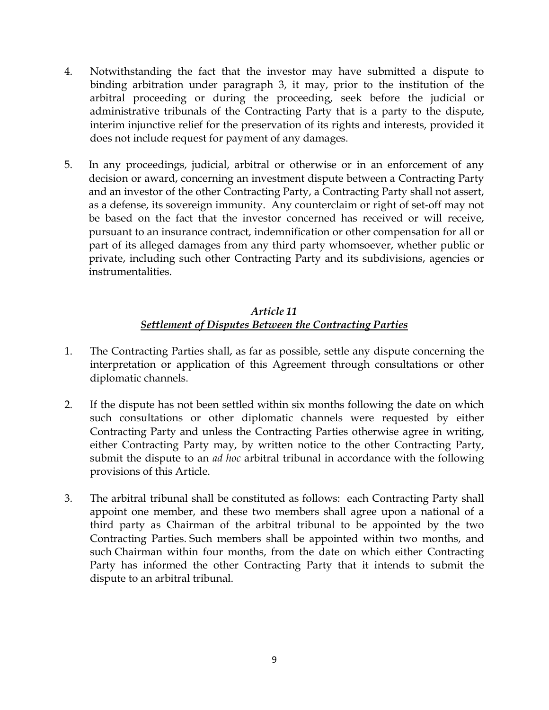- 4. Notwithstanding the fact that the investor may have submitted a dispute to binding arbitration under paragraph 3, it may, prior to the institution of the arbitral proceeding or during the proceeding, seek before the judicial or administrative tribunals of the Contracting Party that is a party to the dispute, interim injunctive relief for the preservation of its rights and interests, provided it does not include request for payment of any damages.
- 5. In any proceedings, judicial, arbitral or otherwise or in an enforcement of any decision or award, concerning an investment dispute between a Contracting Party and an investor of the other Contracting Party, a Contracting Party shall not assert, as a defense, its sovereign immunity. Any counterclaim or right of set-off may not be based on the fact that the investor concerned has received or will receive, pursuant to an insurance contract, indemnification or other compensation for all or part of its alleged damages from any third party whomsoever, whether public or private, including such other Contracting Party and its subdivisions, agencies or instrumentalities.

## *Article 11 Settlement of Disputes Between the Contracting Parties*

- 1. The Contracting Parties shall, as far as possible, settle any dispute concerning the interpretation or application of this Agreement through consultations or other diplomatic channels.
- 2. If the dispute has not been settled within six months following the date on which such consultations or other diplomatic channels were requested by either Contracting Party and unless the Contracting Parties otherwise agree in writing, either Contracting Party may, by written notice to the other Contracting Party, submit the dispute to an *ad hoc* arbitral tribunal in accordance with the following provisions of this Article.
- 3. The arbitral tribunal shall be constituted as follows: each Contracting Party shall appoint one member, and these two members shall agree upon a national of a third party as Chairman of the arbitral tribunal to be appointed by the two Contracting Parties. Such members shall be appointed within two months, and such Chairman within four months, from the date on which either Contracting Party has informed the other Contracting Party that it intends to submit the dispute to an arbitral tribunal.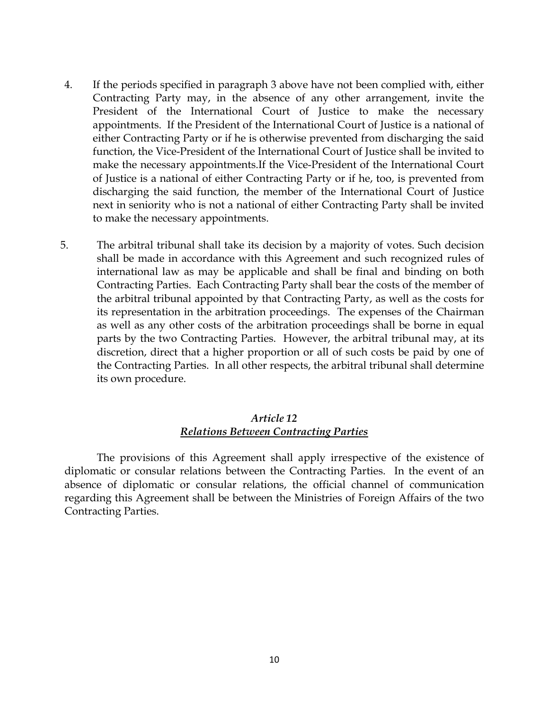- 4. If the periods specified in paragraph 3 above have not been complied with, either Contracting Party may, in the absence of any other arrangement, invite the President of the International Court of Justice to make the necessary appointments. If the President of the International Court of Justice is a national of either Contracting Party or if he is otherwise prevented from discharging the said function, the Vice-President of the International Court of Justice shall be invited to make the necessary appointments.If the Vice-President of the International Court of Justice is a national of either Contracting Party or if he, too, is prevented from discharging the said function, the member of the International Court of Justice next in seniority who is not a national of either Contracting Party shall be invited to make the necessary appointments.
- 5. The arbitral tribunal shall take its decision by a majority of votes. Such decision shall be made in accordance with this Agreement and such recognized rules of international law as may be applicable and shall be final and binding on both Contracting Parties. Each Contracting Party shall bear the costs of the member of the arbitral tribunal appointed by that Contracting Party, as well as the costs for its representation in the arbitration proceedings. The expenses of the Chairman as well as any other costs of the arbitration proceedings shall be borne in equal parts by the two Contracting Parties. However, the arbitral tribunal may, at its discretion, direct that a higher proportion or all of such costs be paid by one of the Contracting Parties. In all other respects, the arbitral tribunal shall determine its own procedure.

#### *Article 12 Relations Between Contracting Parties*

The provisions of this Agreement shall apply irrespective of the existence of diplomatic or consular relations between the Contracting Parties. In the event of an absence of diplomatic or consular relations, the official channel of communication regarding this Agreement shall be between the Ministries of Foreign Affairs of the two Contracting Parties.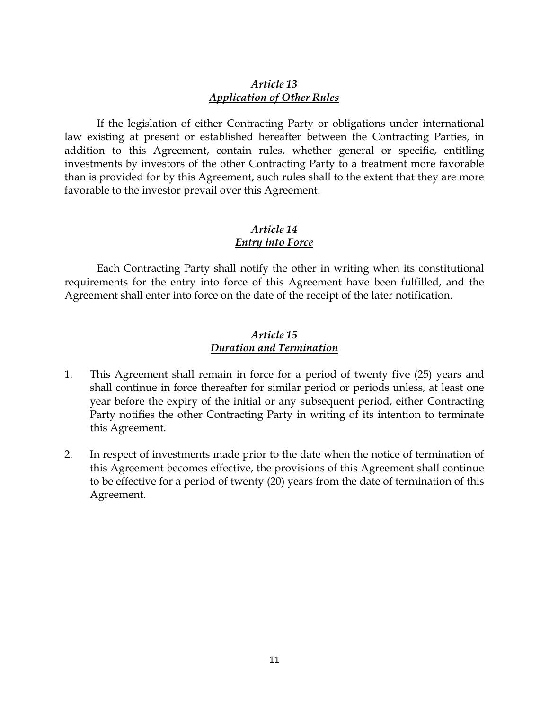#### *Article 13 Application of Other Rules*

If the legislation of either Contracting Party or obligations under international law existing at present or established hereafter between the Contracting Parties, in addition to this Agreement, contain rules, whether general or specific, entitling investments by investors of the other Contracting Party to a treatment more favorable than is provided for by this Agreement, such rules shall to the extent that they are more favorable to the investor prevail over this Agreement.

# *Article 14 Entry into Force*

Each Contracting Party shall notify the other in writing when its constitutional requirements for the entry into force of this Agreement have been fulfilled, and the Agreement shall enter into force on the date of the receipt of the later notification.

#### *Article 15 Duration and Termination*

- 1. This Agreement shall remain in force for a period of twenty five (25) years and shall continue in force thereafter for similar period or periods unless, at least one year before the expiry of the initial or any subsequent period, either Contracting Party notifies the other Contracting Party in writing of its intention to terminate this Agreement.
- 2. In respect of investments made prior to the date when the notice of termination of this Agreement becomes effective, the provisions of this Agreement shall continue to be effective for a period of twenty (20) years from the date of termination of this Agreement.